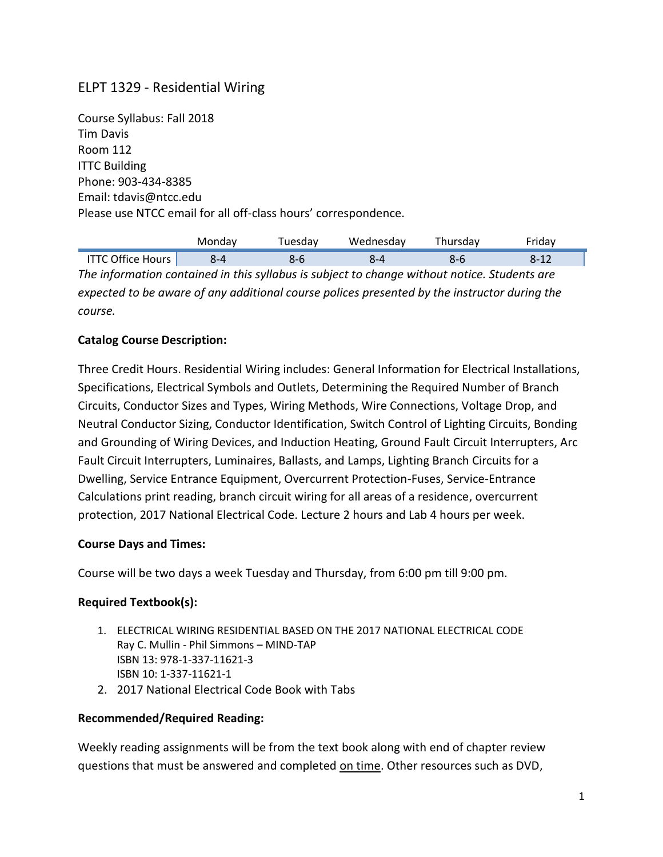# ELPT 1329 - Residential Wiring

Course Syllabus: Fall 2018 Tim Davis Room 112 ITTC Building Phone: 903-434-8385 Email: tdavis@ntcc.edu Please use NTCC email for all off-class hours' correspondence.

|                          | Mondav | <sup>-</sup> uesdav | Wednesday | Thursday | rıdav    |
|--------------------------|--------|---------------------|-----------|----------|----------|
| <b>ITTC Office Hours</b> | Զ-4    |                     |           |          | $2 - 17$ |

*The information contained in this syllabus is subject to change without notice. Students are expected to be aware of any additional course polices presented by the instructor during the course.*

#### **Catalog Course Description:**

Three Credit Hours. Residential Wiring includes: General Information for Electrical Installations, Specifications, Electrical Symbols and Outlets, Determining the Required Number of Branch Circuits, Conductor Sizes and Types, Wiring Methods, Wire Connections, Voltage Drop, and Neutral Conductor Sizing, Conductor Identification, Switch Control of Lighting Circuits, Bonding and Grounding of Wiring Devices, and Induction Heating, Ground Fault Circuit Interrupters, Arc Fault Circuit Interrupters, Luminaires, Ballasts, and Lamps, Lighting Branch Circuits for a Dwelling, Service Entrance Equipment, Overcurrent Protection-Fuses, Service-Entrance Calculations print reading, branch circuit wiring for all areas of a residence, overcurrent protection, 2017 National Electrical Code. Lecture 2 hours and Lab 4 hours per week.

#### **Course Days and Times:**

Course will be two days a week Tuesday and Thursday, from 6:00 pm till 9:00 pm.

## **Required Textbook(s):**

- 1. ELECTRICAL WIRING RESIDENTIAL BASED ON THE 2017 NATIONAL ELECTRICAL CODE Ray C. Mullin - Phil Simmons – MIND-TAP ISBN 13: 978-1-337-11621-3 ISBN 10: 1-337-11621-1
- 2. 2017 National Electrical Code Book with Tabs

#### **Recommended/Required Reading:**

Weekly reading assignments will be from the text book along with end of chapter review questions that must be answered and completed on time. Other resources such as DVD,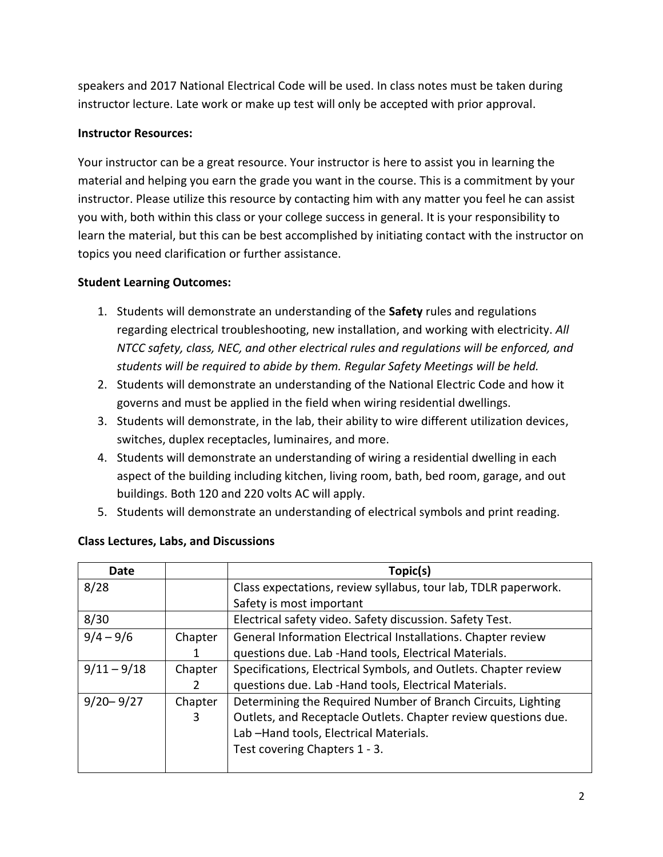speakers and 2017 National Electrical Code will be used. In class notes must be taken during instructor lecture. Late work or make up test will only be accepted with prior approval.

## **Instructor Resources:**

Your instructor can be a great resource. Your instructor is here to assist you in learning the material and helping you earn the grade you want in the course. This is a commitment by your instructor. Please utilize this resource by contacting him with any matter you feel he can assist you with, both within this class or your college success in general. It is your responsibility to learn the material, but this can be best accomplished by initiating contact with the instructor on topics you need clarification or further assistance.

# **Student Learning Outcomes:**

- 1. Students will demonstrate an understanding of the **Safety** rules and regulations regarding electrical troubleshooting, new installation, and working with electricity. *All NTCC safety, class, NEC, and other electrical rules and regulations will be enforced, and students will be required to abide by them. Regular Safety Meetings will be held.*
- 2. Students will demonstrate an understanding of the National Electric Code and how it governs and must be applied in the field when wiring residential dwellings.
- 3. Students will demonstrate, in the lab, their ability to wire different utilization devices, switches, duplex receptacles, luminaires, and more.
- 4. Students will demonstrate an understanding of wiring a residential dwelling in each aspect of the building including kitchen, living room, bath, bed room, garage, and out buildings. Both 120 and 220 volts AC will apply.
- 5. Students will demonstrate an understanding of electrical symbols and print reading.

| Date          |         | Topic(s)                                                        |
|---------------|---------|-----------------------------------------------------------------|
| 8/28          |         | Class expectations, review syllabus, tour lab, TDLR paperwork.  |
|               |         | Safety is most important                                        |
| 8/30          |         | Electrical safety video. Safety discussion. Safety Test.        |
| $9/4 - 9/6$   | Chapter | General Information Electrical Installations. Chapter review    |
|               |         | questions due. Lab - Hand tools, Electrical Materials.          |
| $9/11 - 9/18$ | Chapter | Specifications, Electrical Symbols, and Outlets. Chapter review |
|               |         | questions due. Lab - Hand tools, Electrical Materials.          |
| $9/20 - 9/27$ | Chapter | Determining the Required Number of Branch Circuits, Lighting    |
|               | 3       | Outlets, and Receptacle Outlets. Chapter review questions due.  |
|               |         | Lab-Hand tools, Electrical Materials.                           |
|               |         | Test covering Chapters 1 - 3.                                   |
|               |         |                                                                 |

# **Class Lectures, Labs, and Discussions**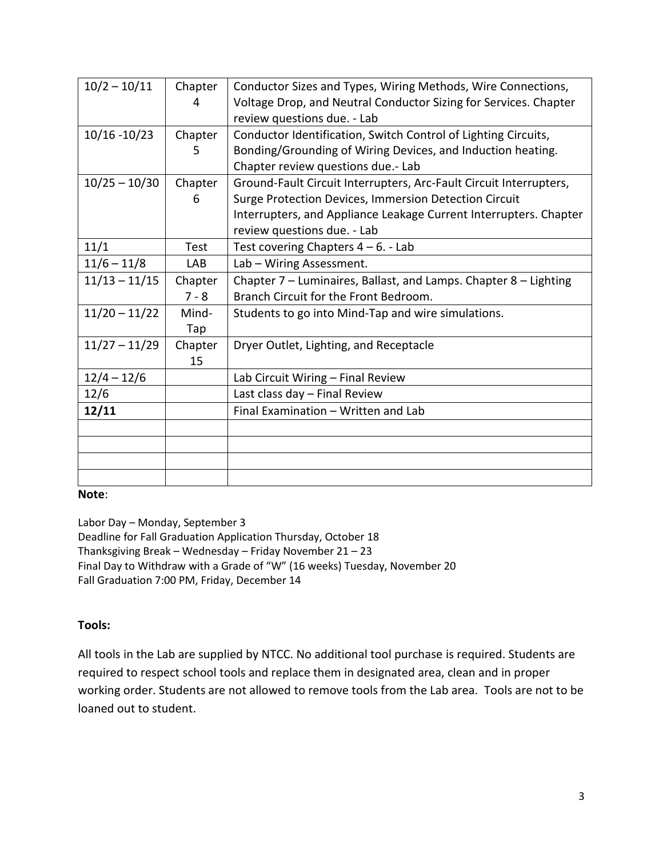| $10/2 - 10/11$  | Chapter | Conductor Sizes and Types, Wiring Methods, Wire Connections,       |
|-----------------|---------|--------------------------------------------------------------------|
|                 | 4       | Voltage Drop, and Neutral Conductor Sizing for Services. Chapter   |
|                 |         | review questions due. - Lab                                        |
| $10/16 - 10/23$ | Chapter | Conductor Identification, Switch Control of Lighting Circuits,     |
|                 | 5       | Bonding/Grounding of Wiring Devices, and Induction heating.        |
|                 |         | Chapter review questions due.- Lab                                 |
| $10/25 - 10/30$ | Chapter | Ground-Fault Circuit Interrupters, Arc-Fault Circuit Interrupters, |
|                 | 6       | Surge Protection Devices, Immersion Detection Circuit              |
|                 |         | Interrupters, and Appliance Leakage Current Interrupters. Chapter  |
|                 |         | review questions due. - Lab                                        |
| 11/1            | Test    | Test covering Chapters $4 - 6$ . - Lab                             |
| $11/6 - 11/8$   | LAB     | Lab - Wiring Assessment.                                           |
| $11/13 - 11/15$ | Chapter | Chapter 7 - Luminaires, Ballast, and Lamps. Chapter 8 - Lighting   |
|                 | $7 - 8$ | Branch Circuit for the Front Bedroom.                              |
| $11/20 - 11/22$ | Mind-   | Students to go into Mind-Tap and wire simulations.                 |
|                 | Tap     |                                                                    |
| $11/27 - 11/29$ | Chapter | Dryer Outlet, Lighting, and Receptacle                             |
|                 | 15      |                                                                    |
| $12/4 - 12/6$   |         | Lab Circuit Wiring - Final Review                                  |
| 12/6            |         | Last class day - Final Review                                      |
| 12/11           |         | Final Examination - Written and Lab                                |
|                 |         |                                                                    |
|                 |         |                                                                    |
|                 |         |                                                                    |
|                 |         |                                                                    |

#### **Note**:

Labor Day – Monday, September 3 Deadline for Fall Graduation Application Thursday, October 18 Thanksgiving Break – Wednesday – Friday November 21 – 23 Final Day to Withdraw with a Grade of "W" (16 weeks) Tuesday, November 20 Fall Graduation 7:00 PM, Friday, December 14

#### **Tools:**

All tools in the Lab are supplied by NTCC. No additional tool purchase is required. Students are required to respect school tools and replace them in designated area, clean and in proper working order. Students are not allowed to remove tools from the Lab area. Tools are not to be loaned out to student.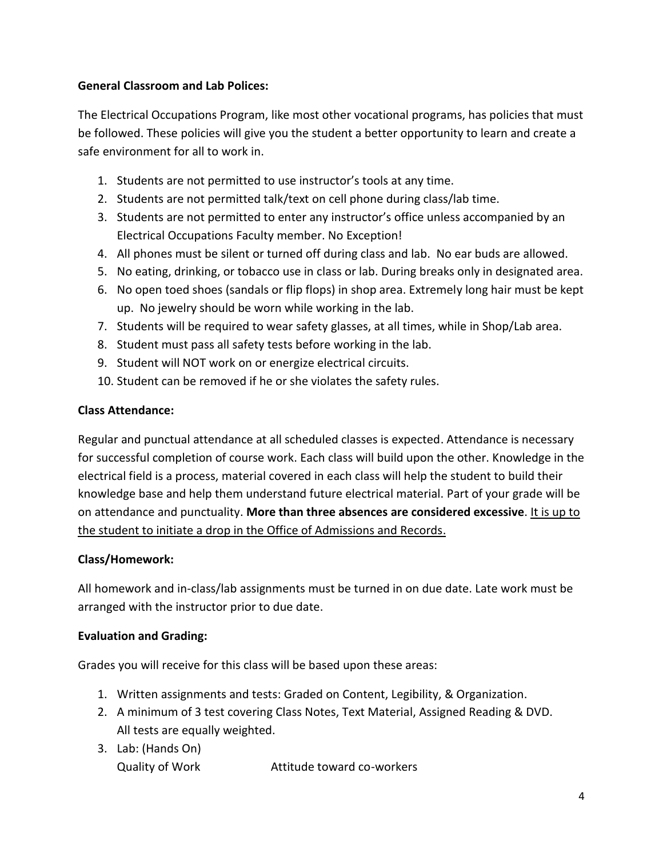## **General Classroom and Lab Polices:**

The Electrical Occupations Program, like most other vocational programs, has policies that must be followed. These policies will give you the student a better opportunity to learn and create a safe environment for all to work in.

- 1. Students are not permitted to use instructor's tools at any time.
- 2. Students are not permitted talk/text on cell phone during class/lab time.
- 3. Students are not permitted to enter any instructor's office unless accompanied by an Electrical Occupations Faculty member. No Exception!
- 4. All phones must be silent or turned off during class and lab. No ear buds are allowed.
- 5. No eating, drinking, or tobacco use in class or lab. During breaks only in designated area.
- 6. No open toed shoes (sandals or flip flops) in shop area. Extremely long hair must be kept up. No jewelry should be worn while working in the lab.
- 7. Students will be required to wear safety glasses, at all times, while in Shop/Lab area.
- 8. Student must pass all safety tests before working in the lab.
- 9. Student will NOT work on or energize electrical circuits.
- 10. Student can be removed if he or she violates the safety rules.

## **Class Attendance:**

Regular and punctual attendance at all scheduled classes is expected. Attendance is necessary for successful completion of course work. Each class will build upon the other. Knowledge in the electrical field is a process, material covered in each class will help the student to build their knowledge base and help them understand future electrical material. Part of your grade will be on attendance and punctuality. **More than three absences are considered excessive**. It is up to the student to initiate a drop in the Office of Admissions and Records.

## **Class/Homework:**

All homework and in-class/lab assignments must be turned in on due date. Late work must be arranged with the instructor prior to due date.

## **Evaluation and Grading:**

Grades you will receive for this class will be based upon these areas:

- 1. Written assignments and tests: Graded on Content, Legibility, & Organization.
- 2. A minimum of 3 test covering Class Notes, Text Material, Assigned Reading & DVD. All tests are equally weighted.
- 3. Lab: (Hands On) Quality of Work Attitude toward co-workers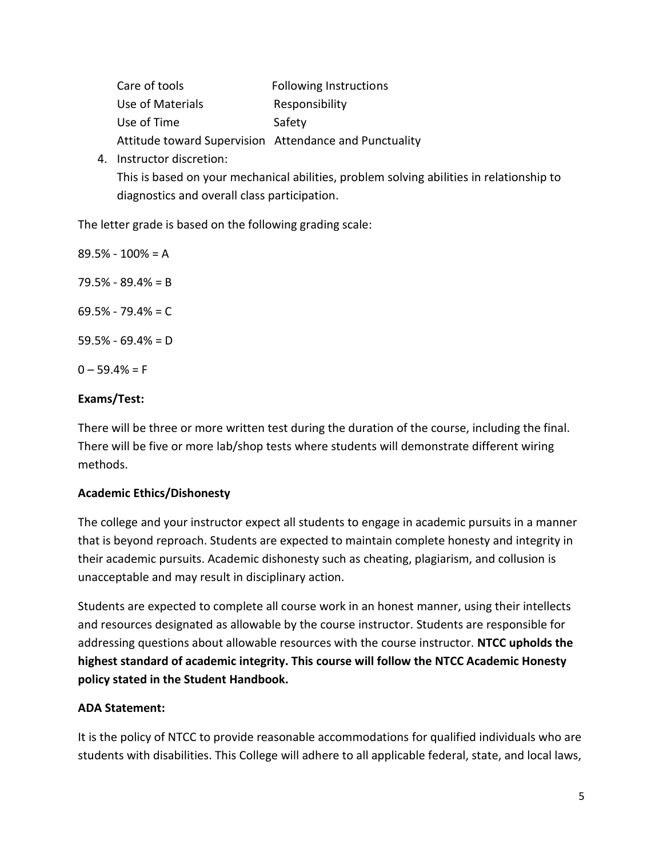| Care of tools                                          | <b>Following Instructions</b> |
|--------------------------------------------------------|-------------------------------|
| Use of Materials                                       | Responsibility                |
| Use of Time                                            | Safety                        |
| Attitude toward Supervision Attendance and Punctuality |                               |

4. Instructor discretion: This is based on your mechanical abilities, problem solving abilities in relationship to diagnostics and overall class participation.

The letter grade is based on the following grading scale:

89.5% - 100% = A 79.5% - 89.4% = B  $69.5\% - 79.4\% = C$  $59.5% - 69.4% = D$  $0 - 59.4% = F$ 

## **Exams/Test:**

There will be three or more written test during the duration of the course, including the final. There will be five or more lab/shop tests where students will demonstrate different wiring methods.

## **Academic Ethics/Dishonesty**

The college and your instructor expect all students to engage in academic pursuits in a manner that is beyond reproach. Students are expected to maintain complete honesty and integrity in their academic pursuits. Academic dishonesty such as cheating, plagiarism, and collusion is unacceptable and may result in disciplinary action.

Students are expected to complete all course work in an honest manner, using their intellects and resources designated as allowable by the course instructor. Students are responsible for addressing questions about allowable resources with the course instructor. **NTCC upholds the highest standard of academic integrity. This course will follow the NTCC Academic Honesty policy stated in the Student Handbook.**

## **ADA Statement:**

It is the policy of NTCC to provide reasonable accommodations for qualified individuals who are students with disabilities. This College will adhere to all applicable federal, state, and local laws,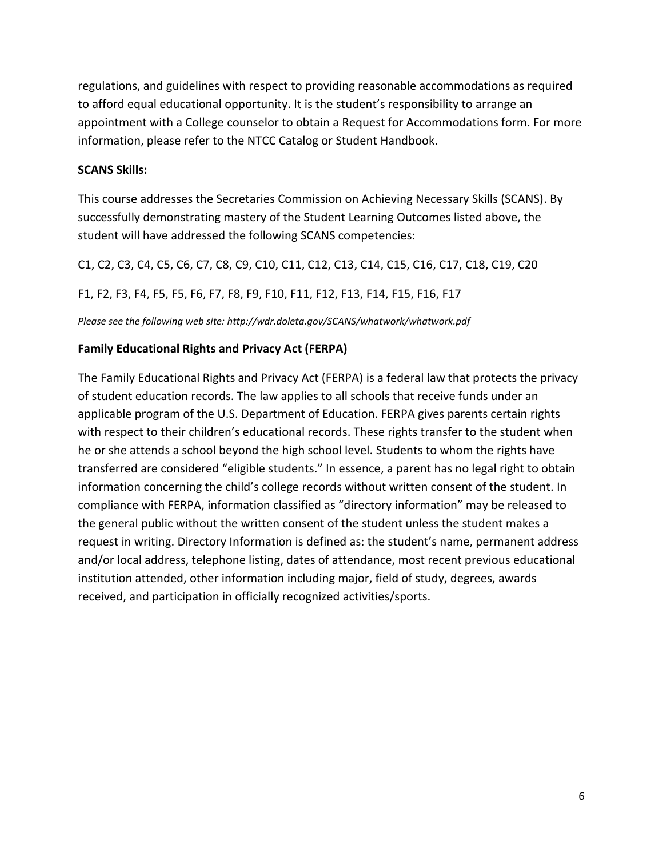regulations, and guidelines with respect to providing reasonable accommodations as required to afford equal educational opportunity. It is the student's responsibility to arrange an appointment with a College counselor to obtain a Request for Accommodations form. For more information, please refer to the NTCC Catalog or Student Handbook.

#### **SCANS Skills:**

This course addresses the Secretaries Commission on Achieving Necessary Skills (SCANS). By successfully demonstrating mastery of the Student Learning Outcomes listed above, the student will have addressed the following SCANS competencies:

C1, C2, C3, C4, C5, C6, C7, C8, C9, C10, C11, C12, C13, C14, C15, C16, C17, C18, C19, C20

F1, F2, F3, F4, F5, F5, F6, F7, F8, F9, F10, F11, F12, F13, F14, F15, F16, F17

*Please see the following web site: http://wdr.doleta.gov/SCANS/whatwork/whatwork.pdf*

## **Family Educational Rights and Privacy Act (FERPA)**

The Family Educational Rights and Privacy Act (FERPA) is a federal law that protects the privacy of student education records. The law applies to all schools that receive funds under an applicable program of the U.S. Department of Education. FERPA gives parents certain rights with respect to their children's educational records. These rights transfer to the student when he or she attends a school beyond the high school level. Students to whom the rights have transferred are considered "eligible students." In essence, a parent has no legal right to obtain information concerning the child's college records without written consent of the student. In compliance with FERPA, information classified as "directory information" may be released to the general public without the written consent of the student unless the student makes a request in writing. Directory Information is defined as: the student's name, permanent address and/or local address, telephone listing, dates of attendance, most recent previous educational institution attended, other information including major, field of study, degrees, awards received, and participation in officially recognized activities/sports.